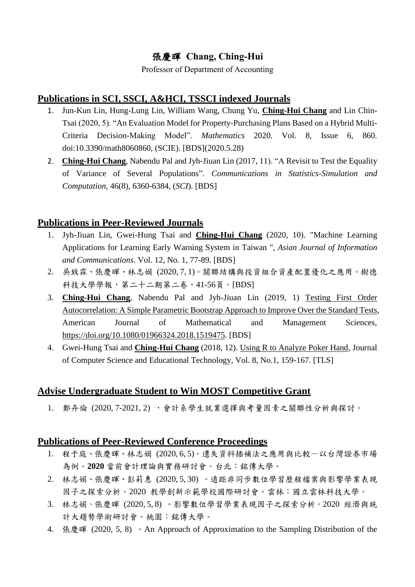# 張慶暉 **Chang, Ching-Hui**

Professor of Department of Accounting

## **Publications in SCI, SSCI, A&HCI, TSSCI indexed Journals**

- 1. Jun-Kun Lin, Hung-Lung Lin, William Wang, Chung Yu, **Ching-Hui Chang** and Lin Chin-Tsai (2020, 5). "An Evaluation Model for Property-Purchasing Plans Based on a Hybrid Multi-Criteria Decision-Making Model". *Mathematics* 2020. Vol. 8, Issue 6, 860. doi:10.3390/math8060860, (SCIE). [BDS](2020.5.28)
- 2. **Ching-Hui Chang**, Nabendu Pal and Jyh-Jiuan Lin (2017, 11). "A Revisit to Test the Equality of Variance of Several Populations". *Communications in Statistics-Simulation and Computation*, 46(8), 6360-6384, (*SCI*). [BDS]

## **Publications in Peer-Reviewed Journals**

- 1. Jyh-Jiuan Lin, Gwei-Hung Tsai and **Ching-Hui Chang** (2020, 10). "Machine Learning Applications for Learning Early Warning System in Taiwan ", *Asian Journal of Information and Communications*. Vol. 12, No. 1, 77-89. [BDS]
- 2. 吳致霖、張慶暉、林志娟 (2020, 7, 1)。關聯結構與投資組合資產配置優化之應用。樹德 科技大學學報,第二十二期第二卷,41-56頁。[BDS]
- 3. **Ching-Hui Chang**, Nabendu Pal and Jyh-Jiuan Lin (2019, 1) [Testing First Order](http://eportfolio.mcu.edu.tw/ePortfolio/Teacher/Html/Common/epdf/8300867/RE_D2_20190115_9315.PDF)  [Autocorrelation: A Simple Parametric Bootstrap Approach to Improve Over the Standard Tests,](http://eportfolio.mcu.edu.tw/ePortfolio/Teacher/Html/Common/epdf/8300867/RE_D2_20190115_9315.PDF) American Journal of Mathematical and Management Sciences, [https://doi.org/10.1080/01966324.2018.1519475.](https://doi.org/10.1080/01966324.2018.1519475) [BDS]
- 4. Gwei-Hung Tsai and **Ching-Hui Chang** (2018, 12). [Using R to Analyze Poker Hand,](http://eportfolio.mcu.edu.tw/ePortfolio/Teacher/Html/Common/epdf/8300867/RE_D2_20181228_9285.PDF) Journal of Computer Science and Educational Technology, Vol. 8, No.1, 159-167. [TLS]

# **Advise Undergraduate Student to Win MOST Competitive Grant**

1. 鄭卉倫 (2020, 7-2021, 2) ,會計系學生就業選擇與考量因素之關聯性分析與探討。

#### **Publications of Peer-Reviewed Conference Proceedings**

- 1. 程于庭、張慶暉、林志娟 (2020, 6, 5)。遺失資料插補法之應用與比較-以台灣證券市場 為例。**2020** 當前會計理論與實務研討會。台北:銘傳大學。
- 2. 林志娟、張慶暉、彭莉惠 (2020, 5, 30) 。遠距非同步數位學習歷程檔案與影響學業表現 因子之探索分析。2020 教學創新示範學校國際研討會。雲林:國立雲林科技大學。
- 3. 林志娟、張慶暉 (2020, 5, 8) 。影響數位學習學業表現因子之探索分析。2020 經濟與統 計大趨勢學術研討會。桃園:銘傳大學。
- 4. 張慶暉 (2020, 5, 8) 。An Approach of Approximation to the Sampling Distribution of the